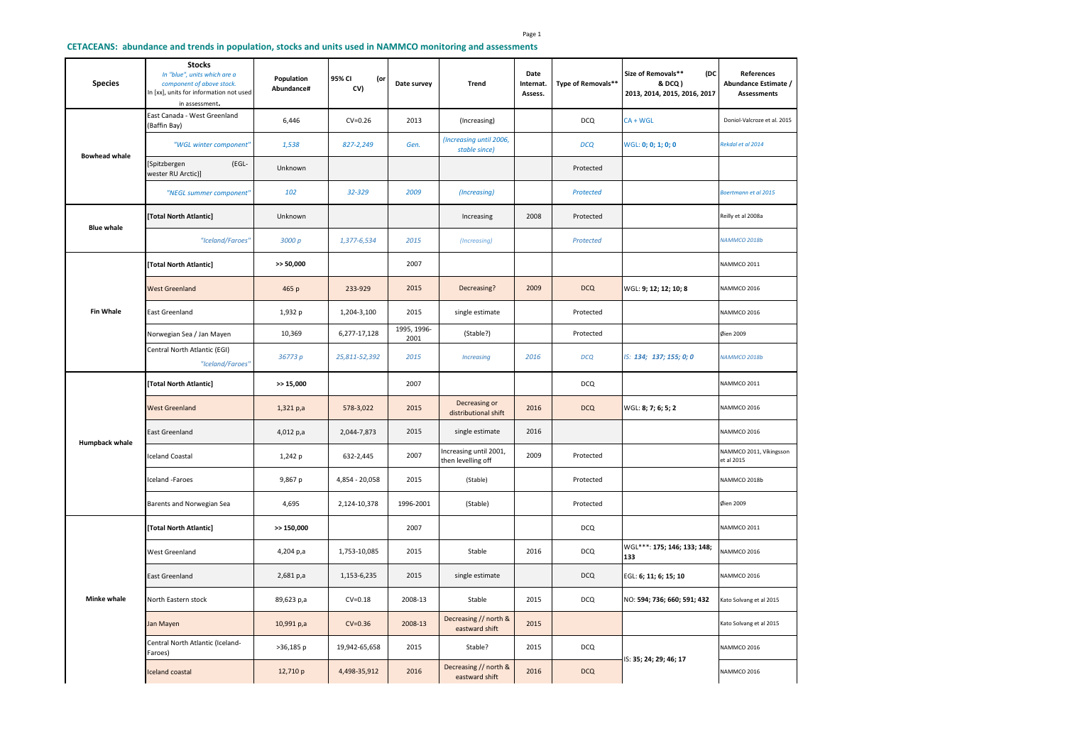## **CETACEANS: abundance and trends in population, stocks and units used in NAMMCO monitoring and assessments**

|  | <b>Species</b>        | <b>Stocks</b><br>In "blue", units which are a<br>component of above stock.<br>In [xx], units for information not used<br>in assessment. | Population<br>Abundance# | 95% CI<br>(or<br>CV) | Date survey         | Trend                                        | Date<br>Internat.<br>Assess. | Type of Removals** | Size of Removals**<br>(DC<br>& DCQ )<br>2013, 2014, 2015, 2016, 2017 | References<br>Abundance Estimate /<br><b>Assessments</b> |
|--|-----------------------|-----------------------------------------------------------------------------------------------------------------------------------------|--------------------------|----------------------|---------------------|----------------------------------------------|------------------------------|--------------------|----------------------------------------------------------------------|----------------------------------------------------------|
|  |                       | East Canada - West Greenland<br>(Baffin Bay)                                                                                            | 6,446                    | $CV=0.26$            | 2013                | (Increasing)                                 |                              | <b>DCQ</b>         | CA + WGL                                                             | Doniol-Valcroze et al. 2015                              |
|  |                       | "WGL winter component"                                                                                                                  | 1,538                    | 827-2,249            | Gen.                | (Increasing until 2006,<br>stable since)     |                              | <b>DCQ</b>         | WGL: 0; 0; 1; 0; 0                                                   | Rekdal et al 2014                                        |
|  | <b>Bowhead whale</b>  | Spitzbergen<br>(EGL-<br>wester RU Arctic)]                                                                                              | Unknown                  |                      |                     |                                              |                              | Protected          |                                                                      |                                                          |
|  |                       | "NEGL summer component"                                                                                                                 | 102                      | 32-329               | 2009                | (Increasing)                                 |                              | Protected          |                                                                      | Boertmann et al 2015                                     |
|  | <b>Blue whale</b>     | [Total North Atlantic]                                                                                                                  | Unknown                  |                      |                     | Increasing                                   | 2008                         | Protected          |                                                                      | Reilly et al 2008a                                       |
|  |                       | "Iceland/Faroes"                                                                                                                        | 3000 p                   | 1,377-6,534          | 2015                | (Increasing)                                 |                              | Protected          |                                                                      | <b>NAMMCO 2018b</b>                                      |
|  |                       | [Total North Atlantic]                                                                                                                  | >> 50,000                |                      | 2007                |                                              |                              |                    |                                                                      | <b>NAMMCO 2011</b>                                       |
|  |                       | <b>West Greenland</b>                                                                                                                   | 465 p                    | 233-929              | 2015                | Decreasing?                                  | 2009                         | <b>DCQ</b>         | WGL: 9; 12; 12; 10; 8                                                | NAMMCO 2016                                              |
|  | <b>Fin Whale</b>      | <b>East Greenland</b>                                                                                                                   | 1,932 p                  | 1,204-3,100          | 2015                | single estimate                              |                              | Protected          |                                                                      | NAMMCO 2016                                              |
|  |                       | Norwegian Sea / Jan Mayen                                                                                                               | 10,369                   | 6,277-17,128         | 1995, 1996-<br>2001 | (Stable?)                                    |                              | Protected          |                                                                      | Øien 2009                                                |
|  |                       | Central North Atlantic (EGI)<br>"Iceland/Faroes"                                                                                        | 36773 p                  | 25,811-52,392        | 2015                | <b>Increasing</b>                            | 2016                         | <b>DCQ</b>         | IS: 134; 137; 155; 0; 0                                              | <b>NAMMCO 2018b</b>                                      |
|  |                       | [Total North Atlantic]                                                                                                                  | >> 15,000                |                      | 2007                |                                              |                              | <b>DCQ</b>         |                                                                      | <b>NAMMCO 2011</b>                                       |
|  |                       | <b>West Greenland</b>                                                                                                                   | 1,321 p,a                | 578-3,022            | 2015                | Decreasing or<br>distributional shift        | 2016                         | <b>DCQ</b>         | WGL: 8; 7; 6; 5; 2                                                   | NAMMCO 2016                                              |
|  |                       |                                                                                                                                         |                          |                      |                     |                                              |                              |                    |                                                                      |                                                          |
|  |                       | East Greenland                                                                                                                          | 4,012 p,a                | 2,044-7,873          | 2015                | single estimate                              | 2016                         |                    |                                                                      | <b>NAMMCO 2016</b>                                       |
|  | <b>Humpback whale</b> | <b>Iceland Coastal</b>                                                                                                                  | 1,242 p                  | 632-2,445            | 2007                | Increasing until 2001,<br>then levelling off | 2009                         | Protected          |                                                                      | NAMMCO 2011, Víkingsson<br>et al 2015                    |
|  |                       | Iceland -Faroes                                                                                                                         | 9,867 p                  | 4,854 - 20,058       | 2015                | (Stable)                                     |                              | Protected          |                                                                      | NAMMCO 2018b                                             |
|  |                       | Barents and Norwegian Sea                                                                                                               | 4,695                    | 2,124-10,378         | 1996-2001           | (Stable)                                     |                              | Protected          |                                                                      | Øien 2009                                                |
|  |                       | [Total North Atlantic]                                                                                                                  | $>$ 150,000              |                      | 2007                |                                              |                              | <b>DCQ</b>         |                                                                      | <b>NAMMCO 2011</b>                                       |
|  |                       | <b>West Greenland</b>                                                                                                                   | 4,204 p,a                | 1,753-10,085         | 2015                | Stable                                       | 2016                         | <b>DCQ</b>         | WGL***: 175; 146; 133; 148;<br>133                                   | VAMMCO 2016                                              |
|  |                       | <b>East Greenland</b>                                                                                                                   | 2,681 p,a                | 1,153-6,235          | 2015                | single estimate                              |                              | <b>DCQ</b>         | EGL: 6; 11; 6; 15; 10                                                | NAMMCO 2016                                              |
|  | <b>Minke whale</b>    | North Eastern stock                                                                                                                     | 89,623 p,a               | $CV = 0.18$          | 2008-13             | Stable                                       | 2015                         | <b>DCQ</b>         | NO: 594; 736; 660; 591; 432                                          | Kato Solvang et al 2015                                  |
|  |                       | Jan Mayen                                                                                                                               | 10,991 p,a               | $CV = 0.36$          | 2008-13             | Decreasing // north &<br>eastward shift      | 2015                         |                    |                                                                      | Kato Solvang et al 2015                                  |
|  |                       | Central North Atlantic (Iceland-<br>Faroes)                                                                                             | $>36,185$ p              | 19,942-65,658        | 2015                | Stable?                                      | 2015                         | <b>DCQ</b>         | S: 35; 24; 29; 46; 17                                                | <b>NAMMCO 2016</b>                                       |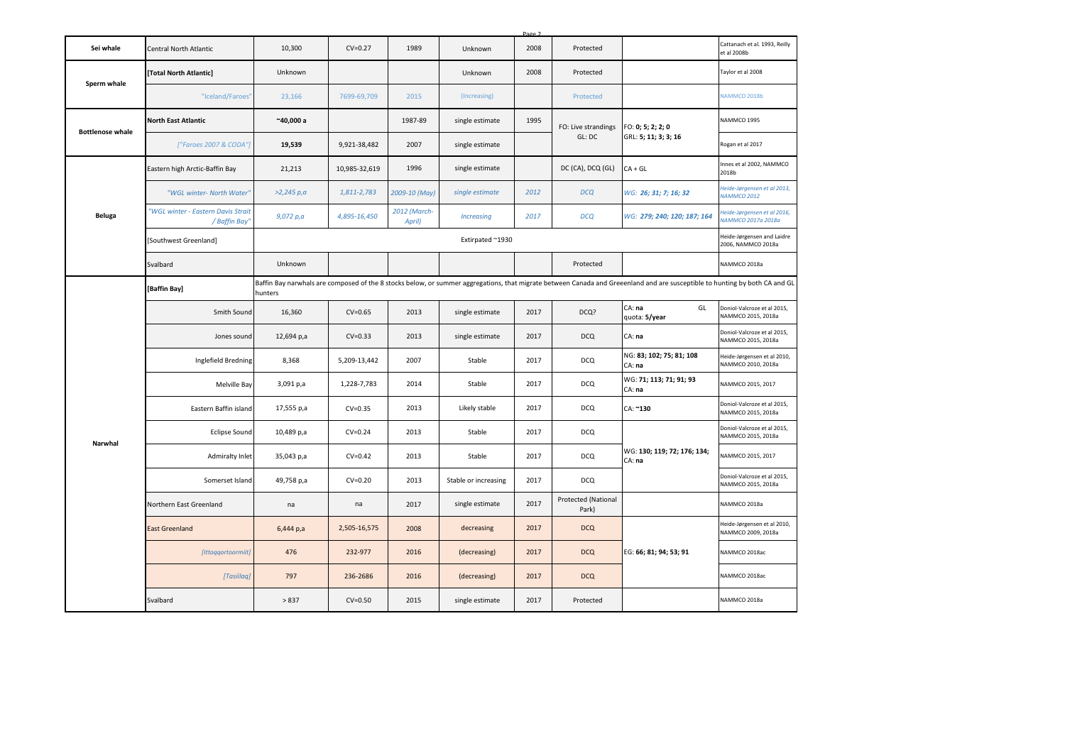|                         |                                                     |                                                                      |               |                        |                      | Page 2 |                              |                                                                                                                                                                             |                                                   |
|-------------------------|-----------------------------------------------------|----------------------------------------------------------------------|---------------|------------------------|----------------------|--------|------------------------------|-----------------------------------------------------------------------------------------------------------------------------------------------------------------------------|---------------------------------------------------|
| Sei whale               | Central North Atlantic                              | 10,300                                                               | $CV=0.27$     | 1989                   | Unknown              | 2008   | Protected                    |                                                                                                                                                                             | Cattanach et al. 1993, Reilly<br>et al 2008b      |
|                         | [Total North Atlantic]                              | Unknown                                                              |               |                        | Unknown              | 2008   | Protected                    |                                                                                                                                                                             | Taylor et al 2008                                 |
| Sperm whale             | "Iceland/Faroes"                                    | 23,166                                                               | 7699-69,709   | 2015                   | (Increasing)         |        | Protected                    |                                                                                                                                                                             | NAMMCO 2018b                                      |
|                         | <b>North East Atlantic</b>                          | $^{\sim}$ 40,000 a                                                   |               | 1987-89                | single estimate      | 1995   | FO: Live strandings          | FO: 0; 5; 2; 2; 0                                                                                                                                                           | NAMMCO 1995                                       |
| <b>Bottlenose whale</b> | ["Faroes 2007 & CODA"]                              | 19,539                                                               | 9,921-38,482  | 2007                   | single estimate      |        | GL: DC                       | GRL: 5; 11; 3; 3; 16                                                                                                                                                        | Rogan et al 2017                                  |
|                         | Eastern high Arctic-Baffin Bay                      | 21,213                                                               | 10,985-32,619 | 1996                   | single estimate      |        | DC (CA), DCQ (GL)            | CA + GL                                                                                                                                                                     | Innes et al 2002, NAMMCO<br>2018b                 |
|                         | "WGL winter- North Water"                           | >2,245 p,a                                                           | 1,811-2,783   | 2009-10 (May)          | single estimate      | 2012   | <b>DCQ</b>                   | WG: 26; 31; 7; 16; 32                                                                                                                                                       | Heide-Jørgensen et al 2013,<br><b>NAMMCO 2012</b> |
| Beluga                  | "WGL winter - Eastern Davis Strait<br>/ Baffin Bay' | 9,072 p,a                                                            | 4,895-16,450  | 2012 (March-<br>April) | <b>Increasing</b>    | 2017   | <b>DCQ</b>                   | WG: 279; 240; 120; 187; 164                                                                                                                                                 | Heide-Jørgensen et al 2016,<br>VAMMCO 2017a 2018a |
|                         | [Southwest Greenland]                               | Heide-Jørgensen and Laidre<br>Extirpated ~1930<br>2006, NAMMCO 2018a |               |                        |                      |        |                              |                                                                                                                                                                             |                                                   |
|                         | Svalbard                                            | Unknown                                                              |               |                        |                      |        | Protected                    |                                                                                                                                                                             | NAMMCO 2018a                                      |
|                         | [Baffin Bay]                                        | hunters                                                              |               |                        |                      |        |                              | Baffin Bay narwhals are composed of the 8 stocks below, or summer aggregations, that migrate between Canada and Greeenland and are susceptible to hunting by both CA and GL |                                                   |
|                         | Smith Sound                                         | 16,360                                                               | $CV=0.65$     | 2013                   | single estimate      | 2017   | DCQ?                         | CA: na<br>GL<br>quota: 5/year                                                                                                                                               | Doniol-Valcroze et al 2015,<br>NAMMCO 2015, 2018a |
|                         | Jones sound                                         | 12,694 p,a                                                           | $CV=0.33$     | 2013                   | single estimate      | 2017   | <b>DCQ</b>                   | CA: na                                                                                                                                                                      | Doniol-Valcroze et al 2015,<br>NAMMCO 2015, 2018a |
|                         | Inglefield Bredning                                 | 8,368                                                                | 5,209-13,442  | 2007                   | Stable               | 2017   | <b>DCQ</b>                   | NG: 83; 102; 75; 81; 108<br>CA: na                                                                                                                                          | Heide-Jørgensen et al 2010,<br>NAMMCO 2010, 2018a |
|                         | Melville Bay                                        | 3,091 p,a                                                            | 1,228-7,783   | 2014                   | Stable               | 2017   | <b>DCQ</b>                   | WG: 71; 113; 71; 91; 93<br>CA: na                                                                                                                                           | NAMMCO 2015, 2017                                 |
|                         | Eastern Baffin island                               | 17,555 p,a                                                           | $CV = 0.35$   | 2013                   | Likely stable        | 2017   | <b>DCQ</b>                   | CA: ~130                                                                                                                                                                    | Doniol-Valcroze et al 2015,<br>NAMMCO 2015, 2018a |
|                         | <b>Eclipse Sound</b>                                | 10,489 p,a                                                           | $CV=0.24$     | 2013                   | Stable               | 2017   | <b>DCQ</b>                   |                                                                                                                                                                             | Doniol-Valcroze et al 2015,<br>NAMMCO 2015, 2018a |
| Narwhal                 | Admiralty Inlet                                     | 35,043 p,a                                                           | $CV=0.42$     | 2013                   | Stable               | 2017   | <b>DCQ</b>                   | WG: 130; 119; 72; 176; 134;<br>CA: na                                                                                                                                       | NAMMCO 2015, 2017                                 |
|                         | Somerset Island                                     | 49,758 p,a                                                           | $CV=0.20$     | 2013                   | Stable or increasing | 2017   | <b>DCQ</b>                   |                                                                                                                                                                             | Doniol-Valcroze et al 2015,<br>NAMMCO 2015, 2018a |
|                         | Northern East Greenland                             | na                                                                   | na            | 2017                   | single estimate      | 2017   | Protected (National<br>Park) |                                                                                                                                                                             | NAMMCO 2018a                                      |
|                         | <b>East Greenland</b>                               | 6,444 p,a                                                            | 2,505-16,575  | 2008                   | decreasing           | 2017   | <b>DCQ</b>                   |                                                                                                                                                                             | Heide-Jørgensen et al 2010,<br>NAMMCO 2009, 2018a |
|                         | [Ittoqqortoormiit]                                  | 476                                                                  | 232-977       | 2016                   | (decreasing)         | 2017   | <b>DCQ</b>                   | EG: 66; 81; 94; 53; 91                                                                                                                                                      | NAMMCO 2018ac                                     |
|                         | [Tasiilaq]                                          | 797                                                                  | 236-2686      | 2016                   | (decreasing)         | 2017   | <b>DCQ</b>                   |                                                                                                                                                                             | NAMMCO 2018ac                                     |
|                         | Svalbard                                            | > 837                                                                | $CV=0.50$     | 2015                   | single estimate      | 2017   | Protected                    |                                                                                                                                                                             | NAMMCO 2018a                                      |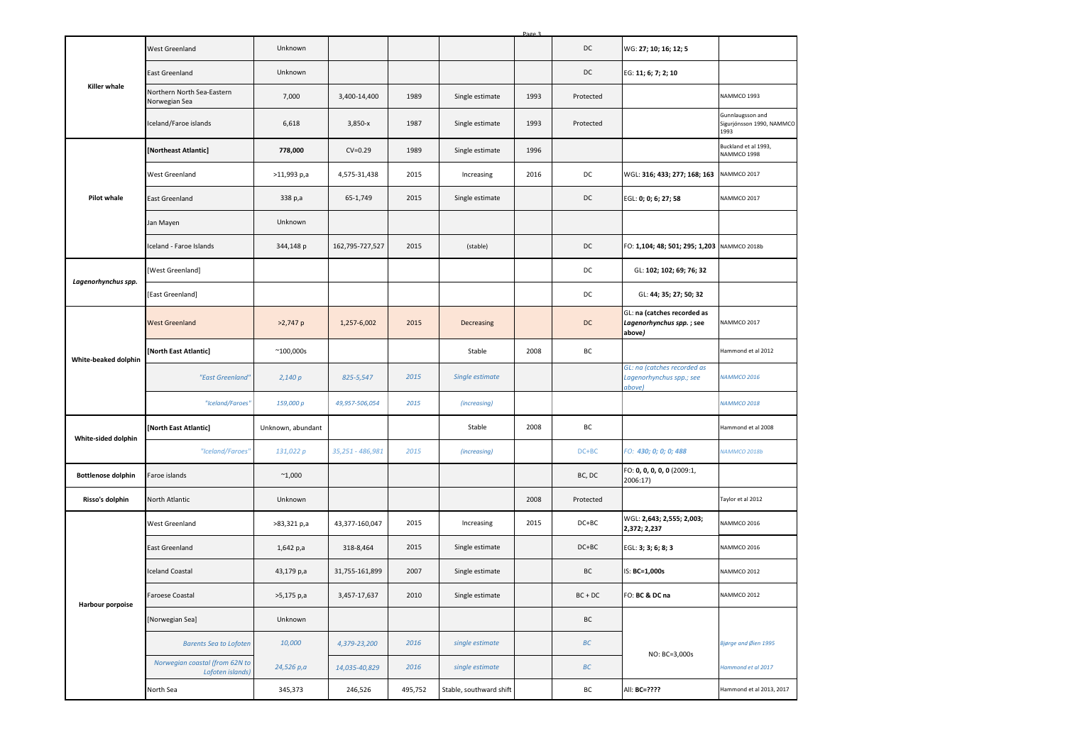|                           |                                                    |                    |                  |         |                         | Page 3 |           |                                                                   |                                                       |
|---------------------------|----------------------------------------------------|--------------------|------------------|---------|-------------------------|--------|-----------|-------------------------------------------------------------------|-------------------------------------------------------|
|                           | West Greenland                                     | Unknown            |                  |         |                         |        | DC        | WG: 27; 10; 16; 12; 5                                             |                                                       |
|                           | East Greenland                                     | Unknown            |                  |         |                         |        | DC        | EG: 11; 6; 7; 2; 10                                               |                                                       |
| Killer whale              | Northern North Sea-Eastern<br>Norwegian Sea        | 7,000              | 3,400-14,400     | 1989    | Single estimate         | 1993   | Protected |                                                                   | NAMMCO 1993                                           |
|                           | Iceland/Faroe islands                              | 6,618              | 3,850-x          | 1987    | Single estimate         | 1993   | Protected |                                                                   | Gunnlaugsson and<br>Sigurjónsson 1990, NAMMCO<br>1993 |
|                           | [Northeast Atlantic]                               | 778,000            | $CV=0.29$        | 1989    | Single estimate         | 1996   |           |                                                                   | Buckland et al 1993,<br>NAMMCO 1998                   |
|                           | West Greenland                                     | >11,993 p,a        | 4,575-31,438     | 2015    | Increasing              | 2016   | DC        | WGL: 316; 433; 277; 168; 163                                      | NAMMCO 2017                                           |
| <b>Pilot whale</b>        | East Greenland                                     | 338 p,a            | 65-1,749         | 2015    | Single estimate         |        | DC        | EGL: 0; 0; 6; 27; 58                                              | NAMMCO 2017                                           |
|                           | Jan Mayen                                          | Unknown            |                  |         |                         |        |           |                                                                   |                                                       |
|                           | Iceland - Faroe Islands                            | 344,148 p          | 162,795-727,527  | 2015    | (stable)                |        | DC        | FO: 1,104; 48; 501; 295; 1,203 NAMMCO 2018b                       |                                                       |
| Lagenorhynchus spp.       | [West Greenland]                                   |                    |                  |         |                         |        | DC        | GL: 102; 102; 69; 76; 32                                          |                                                       |
|                           | [East Greenland]                                   |                    |                  |         |                         |        | DC        | GL: 44; 35; 27; 50; 32                                            |                                                       |
|                           | <b>West Greenland</b>                              | $>2,747$ p         | 1,257-6,002      | 2015    | Decreasing              |        | $DC$      | GL: na (catches recorded as<br>Lagenorhynchus spp.; see<br>above) | NAMMCO 2017                                           |
| White-beaked dolphin      | [North East Atlantic]                              | $^{\sim}$ 100,000s |                  |         | Stable                  | 2008   | BC        |                                                                   | Hammond et al 2012                                    |
|                           | "East Greenland"                                   | 2,140p             | 825-5,547        | 2015    | Single estimate         |        |           | GL: na (catches recorded as<br>Lagenorhynchus spp.; see<br>above) | <b>NAMMCO 2016</b>                                    |
|                           | "Iceland/Faroes"                                   | 159,000 p          | 49,957-506,054   | 2015    | (increasing)            |        |           |                                                                   | <b>NAMMCO 2018</b>                                    |
| White-sided dolphin       | [North East Atlantic]                              | Unknown, abundant  |                  |         | Stable                  | 2008   | BC        |                                                                   | Hammond et al 2008                                    |
|                           | "Iceland/Faroes"                                   | 131,022 p          | 35,251 - 486,981 | 2015    | (increasing)            |        | $DC+BC$   | FO: 430; 0; 0; 0; 488                                             | <b>NAMMCO 2018b</b>                                   |
| <b>Bottlenose dolphin</b> | Faroe islands                                      | $^{\sim}1,000$     |                  |         |                         |        | BC, DC    | FO: 0, 0, 0, 0, 0 (2009:1,<br>2006:17)                            |                                                       |
| Risso's dolphin           | North Atlantic                                     | Unknown            |                  |         |                         | 2008   | Protected |                                                                   | Taylor et al 2012                                     |
|                           | West Greenland                                     | >83,321 p,a        | 43,377-160,047   | 2015    | Increasing              | 2015   | $DC+BC$   | WGL: 2,643; 2,555; 2,003;<br>2,372; 2,237                         | NAMMCO 2016                                           |
|                           | East Greenland                                     | 1,642 p,a          | 318-8,464        | 2015    | Single estimate         |        | $DC+BC$   | EGL: 3; 3; 6; 8; 3                                                | NAMMCO 2016                                           |
|                           | <b>Iceland Coastal</b>                             | 43,179 p,a         | 31,755-161,899   | 2007    | Single estimate         |        | BC        | IS: BC=1,000s                                                     | NAMMCO 2012                                           |
| <b>Harbour porpoise</b>   | aroese Coastal                                     | >5,175 p,a         | 3,457-17,637     | 2010    | Single estimate         |        | $BC + DC$ | FO: BC & DC na                                                    | NAMMCO 2012                                           |
|                           | [Norwegian Sea]                                    | Unknown            |                  |         |                         |        | BC        |                                                                   |                                                       |
|                           | <b>Barents Sea to Lofoten</b>                      | 10,000             | 4,379-23,200     | 2016    | single estimate         |        | BC        | NO: BC=3,000s                                                     | Bjørge and Øien 1995                                  |
|                           | Norwegian coastal (from 62N to<br>Lofoten islands) | 24,526 p,a         | 14,035-40,829    | 2016    | single estimate         |        | $BC$      |                                                                   | Hammond et al 2017                                    |
|                           | North Sea                                          | 345,373            | 246,526          | 495,752 | Stable, southward shift |        | ВC        | All: BC=????                                                      | Hammond et al 2013, 2017                              |